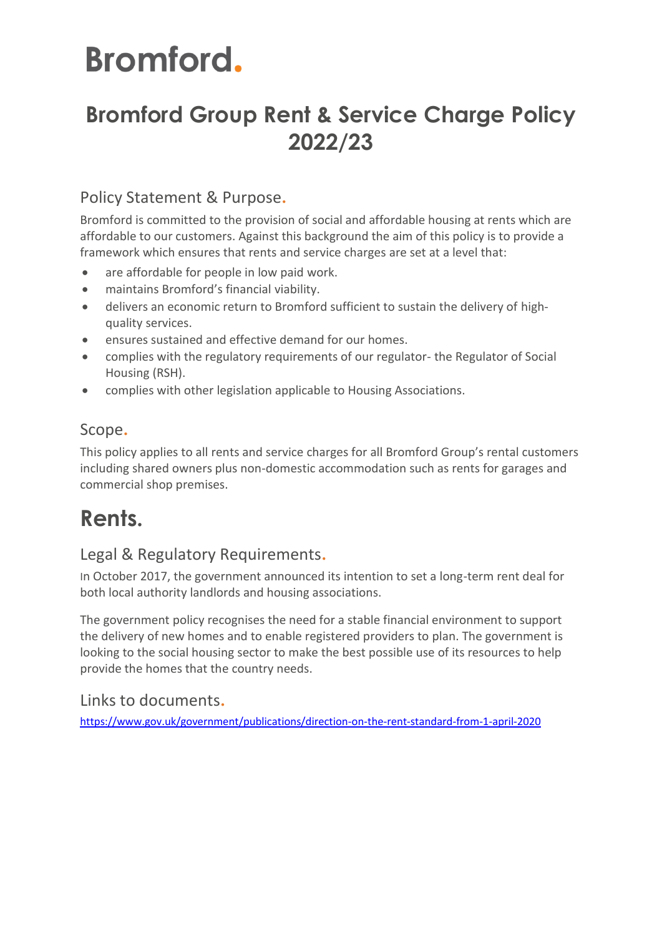# **Bromford Group Rent & Service Charge Policy 2022/23**

## Policy Statement & Purpose**.**

Bromford is committed to the provision of social and affordable housing at rents which are affordable to our customers. Against this background the aim of this policy is to provide a framework which ensures that rents and service charges are set at a level that:

- are affordable for people in low paid work.
- maintains Bromford's financial viability.
- delivers an economic return to Bromford sufficient to sustain the delivery of highquality services.
- ensures sustained and effective demand for our homes.
- complies with the regulatory requirements of our regulator- the Regulator of Social Housing (RSH).
- complies with other legislation applicable to Housing Associations.

# Scope**.**

This policy applies to all rents and service charges for all Bromford Group's rental customers including shared owners plus non-domestic accommodation such as rents for garages and commercial shop premises.

# **Rents.**

## Legal & Regulatory Requirements**.**

In October 2017, the government announced its intention to set a long-term rent deal for both local authority landlords and housing associations.

The government policy recognises the need for a stable financial environment to support the delivery of new homes and to enable registered providers to plan. The government is looking to the social housing sector to make the best possible use of its resources to help provide the homes that the country needs.

Links to documents**.**

<https://www.gov.uk/government/publications/direction-on-the-rent-standard-from-1-april-2020>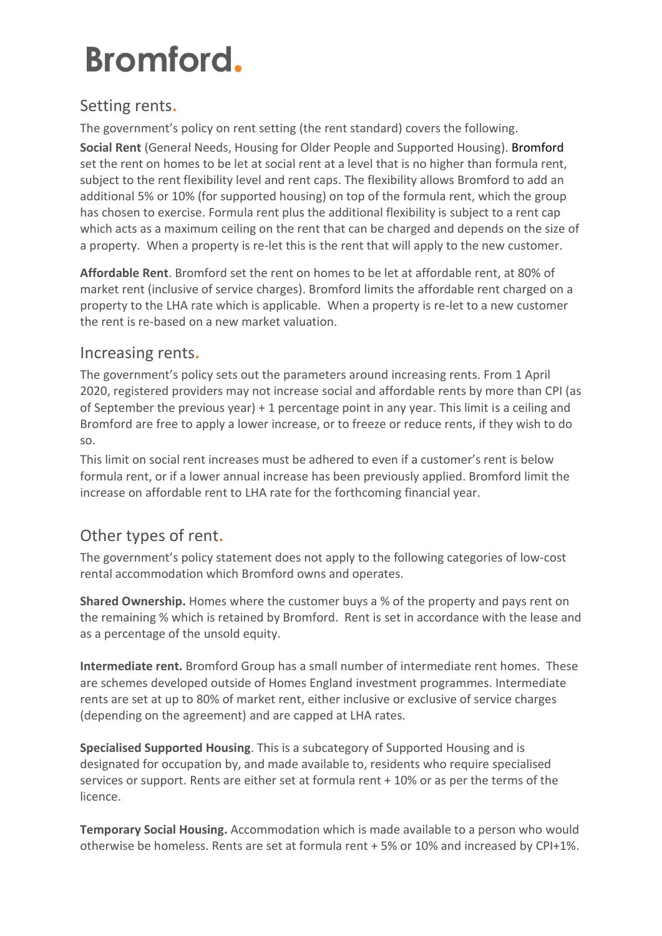### Setting rents**.**

The government's policy on rent setting (the rent standard) covers the following. **Social Rent** (General Needs, Housing for Older People and Supported Housing). Bromford set the rent on homes to be let at social rent at a level that is no higher than formula rent, subject to the rent flexibility level and rent caps. The flexibility allows Bromford to add an additional 5% or 10% (for supported housing) on top of the formula rent, which the group has chosen to exercise. Formula rent plus the additional flexibility is subject to a rent cap which acts as a maximum ceiling on the rent that can be charged and depends on the size of a property. When a property is re-let this is the rent that will apply to the new customer.

**Affordable Rent**. Bromford set the rent on homes to be let at affordable rent, at 80% of market rent (inclusive of service charges). Bromford limits the affordable rent charged on a property to the LHA rate which is applicable. When a property is re-let to a new customer the rent is re-based on a new market valuation.

### Increasing rents**.**

The government's policy sets out the parameters around increasing rents. From 1 April 2020, registered providers may not increase social and affordable rents by more than CPI (as of September the previous year) + 1 percentage point in any year. This limit is a ceiling and Bromford are free to apply a lower increase, or to freeze or reduce rents, if they wish to do so.

This limit on social rent increases must be adhered to even if a customer's rent is below formula rent, or if a lower annual increase has been previously applied. Bromford limit the increase on affordable rent to LHA rate for the forthcoming financial year.

## Other types of rent**.**

The government's policy statement does not apply to the following categories of low-cost rental accommodation which Bromford owns and operates.

**Shared Ownership.** Homes where the customer buys a % of the property and pays rent on the remaining % which is retained by Bromford. Rent is set in accordance with the lease and as a percentage of the unsold equity.

**Intermediate rent.** Bromford Group has a small number of intermediate rent homes. These are schemes developed outside of Homes England investment programmes. Intermediate rents are set at up to 80% of market rent, either inclusive or exclusive of service charges (depending on the agreement) and are capped at LHA rates.

**Specialised Supported Housing**. This is a subcategory of Supported Housing and is designated for occupation by, and made available to, residents who require specialised services or support. Rents are either set at formula rent + 10% or as per the terms of the licence.

**Temporary Social Housing.** Accommodation which is made available to a person who would otherwise be homeless. Rents are set at formula rent + 5% or 10% and increased by CPI+1%.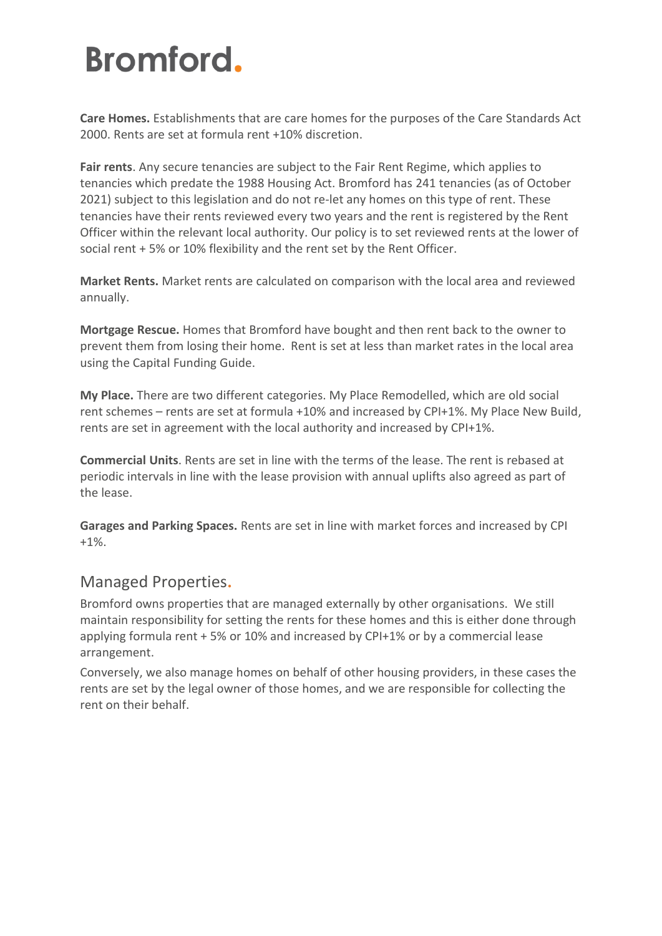**Care Homes.** Establishments that are care homes for the purposes of the Care Standards Act 2000. Rents are set at formula rent +10% discretion.

**Fair rents**. Any secure tenancies are subject to the Fair Rent Regime, which applies to tenancies which predate the 1988 Housing Act. Bromford has 241 tenancies (as of October 2021) subject to this legislation and do not re-let any homes on this type of rent. These tenancies have their rents reviewed every two years and the rent is registered by the Rent Officer within the relevant local authority. Our policy is to set reviewed rents at the lower of social rent + 5% or 10% flexibility and the rent set by the Rent Officer.

**Market Rents.** Market rents are calculated on comparison with the local area and reviewed annually.

**Mortgage Rescue.** Homes that Bromford have bought and then rent back to the owner to prevent them from losing their home. Rent is set at less than market rates in the local area using the Capital Funding Guide.

**My Place.** There are two different categories. My Place Remodelled, which are old social rent schemes – rents are set at formula +10% and increased by CPI+1%. My Place New Build, rents are set in agreement with the local authority and increased by CPI+1%.

**Commercial Units**. Rents are set in line with the terms of the lease. The rent is rebased at periodic intervals in line with the lease provision with annual uplifts also agreed as part of the lease.

**Garages and Parking Spaces.** Rents are set in line with market forces and increased by CPI +1%.

### Managed Properties**.**

Bromford owns properties that are managed externally by other organisations. We still maintain responsibility for setting the rents for these homes and this is either done through applying formula rent + 5% or 10% and increased by CPI+1% or by a commercial lease arrangement.

Conversely, we also manage homes on behalf of other housing providers, in these cases the rents are set by the legal owner of those homes, and we are responsible for collecting the rent on their behalf.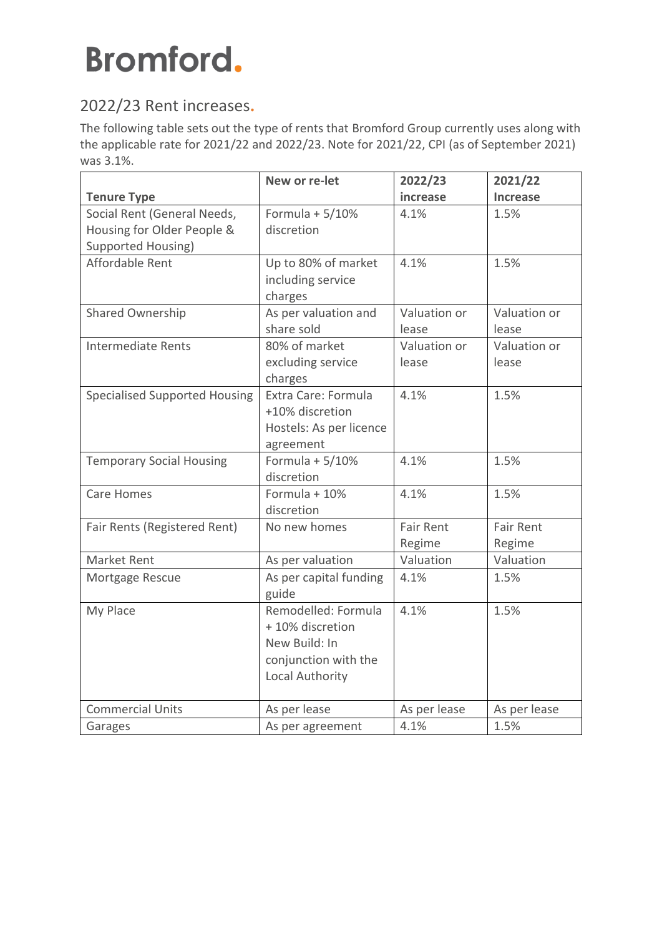# 2022/23 Rent increases**.**

The following table sets out the type of rents that Bromford Group currently uses along with the applicable rate for 2021/22 and 2022/23. Note for 2021/22, CPI (as of September 2021) was 3.1%.

|                                      | New or re-let           | 2022/23          | 2021/22          |
|--------------------------------------|-------------------------|------------------|------------------|
| <b>Tenure Type</b>                   |                         | increase         | Increase         |
| Social Rent (General Needs,          | Formula + $5/10%$       | 4.1%             | 1.5%             |
| Housing for Older People &           | discretion              |                  |                  |
| <b>Supported Housing)</b>            |                         |                  |                  |
| Affordable Rent                      | Up to 80% of market     | 4.1%             | 1.5%             |
|                                      | including service       |                  |                  |
|                                      | charges                 |                  |                  |
| <b>Shared Ownership</b>              | As per valuation and    | Valuation or     | Valuation or     |
|                                      | share sold              | lease            | lease            |
| Intermediate Rents                   | 80% of market           | Valuation or     | Valuation or     |
|                                      | excluding service       | lease            | lease            |
|                                      | charges                 |                  |                  |
| <b>Specialised Supported Housing</b> | Extra Care: Formula     | 4.1%             | 1.5%             |
|                                      | +10% discretion         |                  |                  |
|                                      | Hostels: As per licence |                  |                  |
|                                      | agreement               |                  |                  |
| <b>Temporary Social Housing</b>      | Formula + $5/10%$       | 4.1%             | 1.5%             |
|                                      | discretion              |                  |                  |
| Care Homes                           | Formula + 10%           | 4.1%             | 1.5%             |
|                                      | discretion              |                  |                  |
| Fair Rents (Registered Rent)         | No new homes            | <b>Fair Rent</b> | <b>Fair Rent</b> |
|                                      |                         | Regime           | Regime           |
| Market Rent                          | As per valuation        | Valuation        | Valuation        |
| Mortgage Rescue                      | As per capital funding  | 4.1%             | 1.5%             |
|                                      | guide                   |                  |                  |
| My Place                             | Remodelled: Formula     | 4.1%             | 1.5%             |
|                                      | +10% discretion         |                  |                  |
|                                      | New Build: In           |                  |                  |
|                                      | conjunction with the    |                  |                  |
|                                      | Local Authority         |                  |                  |
|                                      |                         |                  |                  |
| <b>Commercial Units</b>              | As per lease            | As per lease     | As per lease     |
| Garages                              | As per agreement        | 4.1%             | 1.5%             |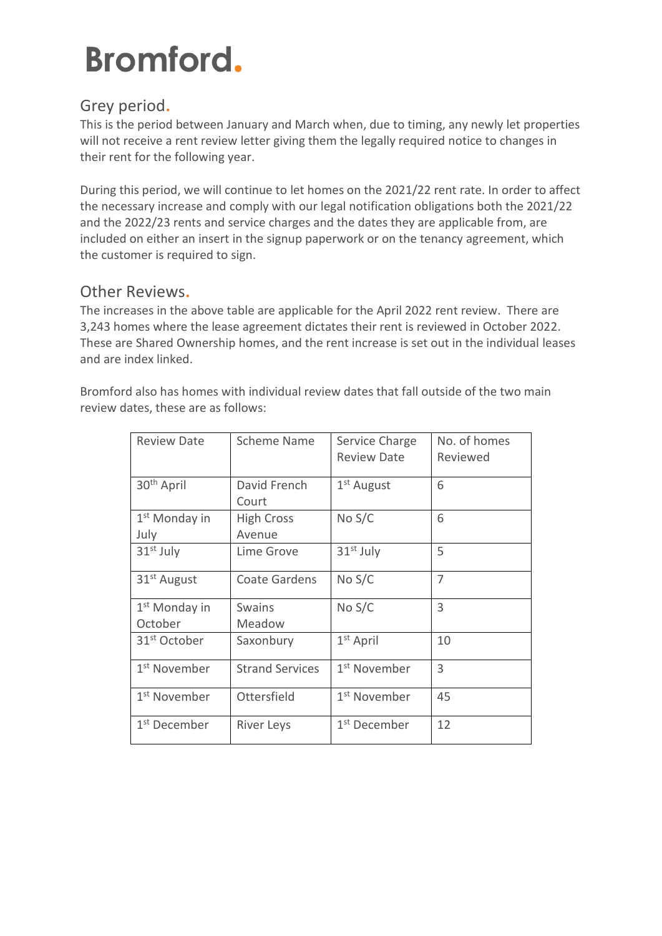## Grey period**.**

This is the period between January and March when, due to timing, any newly let properties will not receive a rent review letter giving them the legally required notice to changes in their rent for the following year.

During this period, we will continue to let homes on the 2021/22 rent rate. In order to affect the necessary increase and comply with our legal notification obligations both the 2021/22 and the 2022/23 rents and service charges and the dates they are applicable from, are included on either an insert in the signup paperwork or on the tenancy agreement, which the customer is required to sign.

### Other Reviews**.**

The increases in the above table are applicable for the April 2022 rent review. There are 3,243 homes where the lease agreement dictates their rent is reviewed in October 2022. These are Shared Ownership homes, and the rent increase is set out in the individual leases and are index linked.

Bromford also has homes with individual review dates that fall outside of the two main review dates, these are as follows:

| <b>Review Date</b>                   | <b>Scheme Name</b>          | Service Charge<br><b>Review Date</b> | No. of homes<br>Reviewed |  |
|--------------------------------------|-----------------------------|--------------------------------------|--------------------------|--|
| 30 <sup>th</sup> April               | David French<br>Court       | 1 <sup>st</sup> August               | 6                        |  |
| 1 <sup>st</sup> Monday in<br>July    | <b>High Cross</b><br>Avenue | No S/C                               | 6                        |  |
| $31st$ July                          | Lime Grove                  | 31 <sup>st</sup> July                | 5                        |  |
| 31 <sup>st</sup> August              | <b>Coate Gardens</b>        | No S/C                               | 7                        |  |
| 1 <sup>st</sup> Monday in<br>October | <b>Swains</b><br>Meadow     | No S/C                               | 3                        |  |
| 31 <sup>st</sup> October             | Saxonbury                   | $1st$ April                          | 10                       |  |
| 1 <sup>st</sup> November             | <b>Strand Services</b>      | 1 <sup>st</sup> November             | 3                        |  |
| 1 <sup>st</sup> November             | Ottersfield                 | 1 <sup>st</sup> November             | 45                       |  |
| 1 <sup>st</sup> December             | <b>River Leys</b>           | 1 <sup>st</sup> December             | 12                       |  |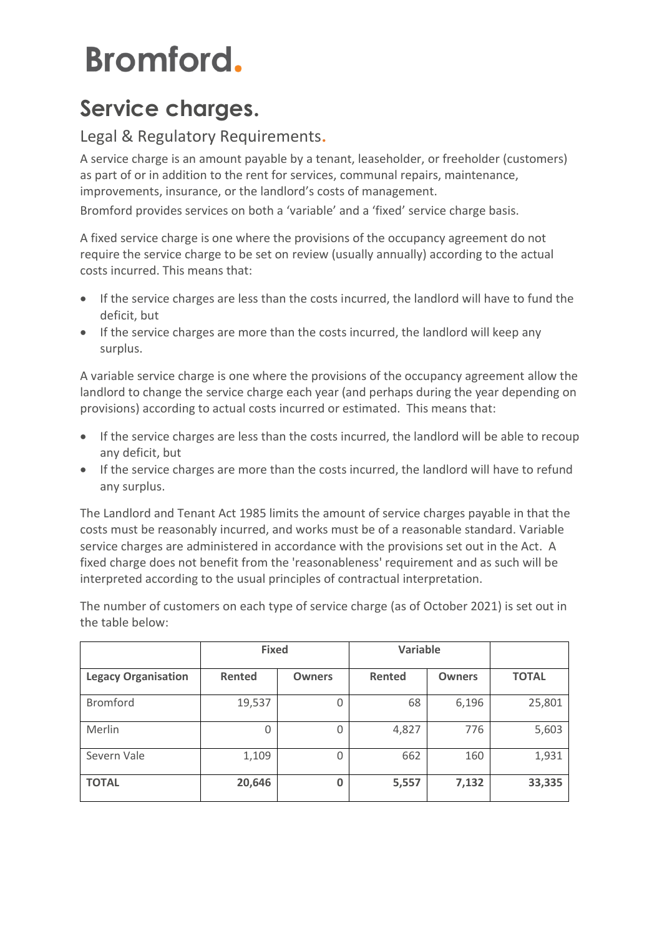# **Service charges.**

### Legal & Regulatory Requirements**.**

A service charge is an amount payable by a tenant, leaseholder, or freeholder (customers) as part of or in addition to the rent for services, communal repairs, maintenance, improvements, insurance, or the landlord's costs of management.

Bromford provides services on both a 'variable' and a 'fixed' service charge basis.

A fixed service charge is one where the provisions of the occupancy agreement do not require the service charge to be set on review (usually annually) according to the actual costs incurred. This means that:

- If the service charges are less than the costs incurred, the landlord will have to fund the deficit, but
- If the service charges are more than the costs incurred, the landlord will keep any surplus.

A variable service charge is one where the provisions of the occupancy agreement allow the landlord to change the service charge each year (and perhaps during the year depending on provisions) according to actual costs incurred or estimated. This means that:

- If the service charges are less than the costs incurred, the landlord will be able to recoup any deficit, but
- If the service charges are more than the costs incurred, the landlord will have to refund any surplus.

The Landlord and Tenant Act 1985 limits the amount of service charges payable in that the costs must be reasonably incurred, and works must be of a reasonable standard. Variable service charges are administered in accordance with the provisions set out in the Act. A fixed charge does not benefit from the 'reasonableness' requirement and as such will be interpreted according to the usual principles of contractual interpretation.

The number of customers on each type of service charge (as of October 2021) is set out in the table below:

|                            | <b>Fixed</b> |               | <b>Variable</b> |               |              |
|----------------------------|--------------|---------------|-----------------|---------------|--------------|
| <b>Legacy Organisation</b> | Rented       | <b>Owners</b> | <b>Rented</b>   | <b>Owners</b> | <b>TOTAL</b> |
| <b>Bromford</b>            | 19,537       | 0             | 68              | 6,196         | 25,801       |
| Merlin                     | 0            | 0             | 4,827           | 776           | 5,603        |
| Severn Vale                | 1,109        | 0             | 662             | 160           | 1,931        |
| <b>TOTAL</b>               | 20,646       | 0             | 5,557           | 7,132         | 33,335       |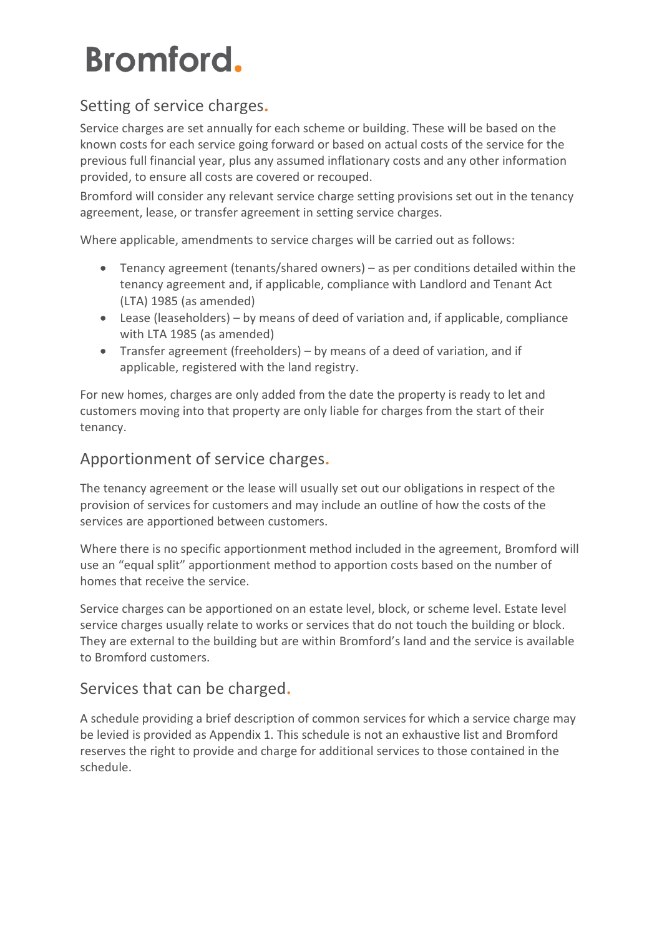### Setting of service charges**.**

Service charges are set annually for each scheme or building. These will be based on the known costs for each service going forward or based on actual costs of the service for the previous full financial year, plus any assumed inflationary costs and any other information provided, to ensure all costs are covered or recouped.

Bromford will consider any relevant service charge setting provisions set out in the tenancy agreement, lease, or transfer agreement in setting service charges.

Where applicable, amendments to service charges will be carried out as follows:

- Tenancy agreement (tenants/shared owners) as per conditions detailed within the tenancy agreement and, if applicable, compliance with Landlord and Tenant Act (LTA) 1985 (as amended)
- Lease (leaseholders) by means of deed of variation and, if applicable, compliance with LTA 1985 (as amended)
- Transfer agreement (freeholders) by means of a deed of variation, and if applicable, registered with the land registry.

For new homes, charges are only added from the date the property is ready to let and customers moving into that property are only liable for charges from the start of their tenancy.

### Apportionment of service charges**.**

The tenancy agreement or the lease will usually set out our obligations in respect of the provision of services for customers and may include an outline of how the costs of the services are apportioned between customers.

Where there is no specific apportionment method included in the agreement, Bromford will use an "equal split" apportionment method to apportion costs based on the number of homes that receive the service.

Service charges can be apportioned on an estate level, block, or scheme level. Estate level service charges usually relate to works or services that do not touch the building or block. They are external to the building but are within Bromford's land and the service is available to Bromford customers.

### Services that can be charged**.**

A schedule providing a brief description of common services for which a service charge may be levied is provided as Appendix 1. This schedule is not an exhaustive list and Bromford reserves the right to provide and charge for additional services to those contained in the schedule.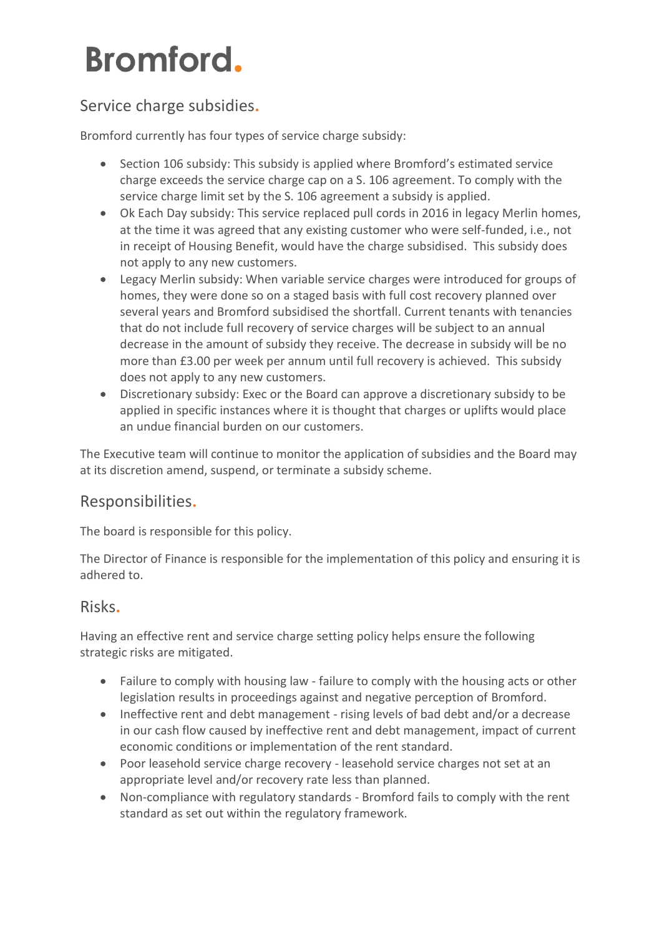### Service charge subsidies**.**

Bromford currently has four types of service charge subsidy:

- Section 106 subsidy: This subsidy is applied where Bromford's estimated service charge exceeds the service charge cap on a S. 106 agreement. To comply with the service charge limit set by the S. 106 agreement a subsidy is applied.
- Ok Each Day subsidy: This service replaced pull cords in 2016 in legacy Merlin homes, at the time it was agreed that any existing customer who were self-funded, i.e., not in receipt of Housing Benefit, would have the charge subsidised. This subsidy does not apply to any new customers.
- Legacy Merlin subsidy: When variable service charges were introduced for groups of homes, they were done so on a staged basis with full cost recovery planned over several years and Bromford subsidised the shortfall. Current tenants with tenancies that do not include full recovery of service charges will be subject to an annual decrease in the amount of subsidy they receive. The decrease in subsidy will be no more than £3.00 per week per annum until full recovery is achieved. This subsidy does not apply to any new customers.
- Discretionary subsidy: Exec or the Board can approve a discretionary subsidy to be applied in specific instances where it is thought that charges or uplifts would place an undue financial burden on our customers.

The Executive team will continue to monitor the application of subsidies and the Board may at its discretion amend, suspend, or terminate a subsidy scheme.

### Responsibilities**.**

The board is responsible for this policy.

The Director of Finance is responsible for the implementation of this policy and ensuring it is adhered to.

### Risks**.**

Having an effective rent and service charge setting policy helps ensure the following strategic risks are mitigated.

- Failure to comply with housing law failure to comply with the housing acts or other legislation results in proceedings against and negative perception of Bromford.
- Ineffective rent and debt management rising levels of bad debt and/or a decrease in our cash flow caused by ineffective rent and debt management, impact of current economic conditions or implementation of the rent standard.
- Poor leasehold service charge recovery leasehold service charges not set at an appropriate level and/or recovery rate less than planned.
- Non-compliance with regulatory standards Bromford fails to comply with the rent standard as set out within the regulatory framework.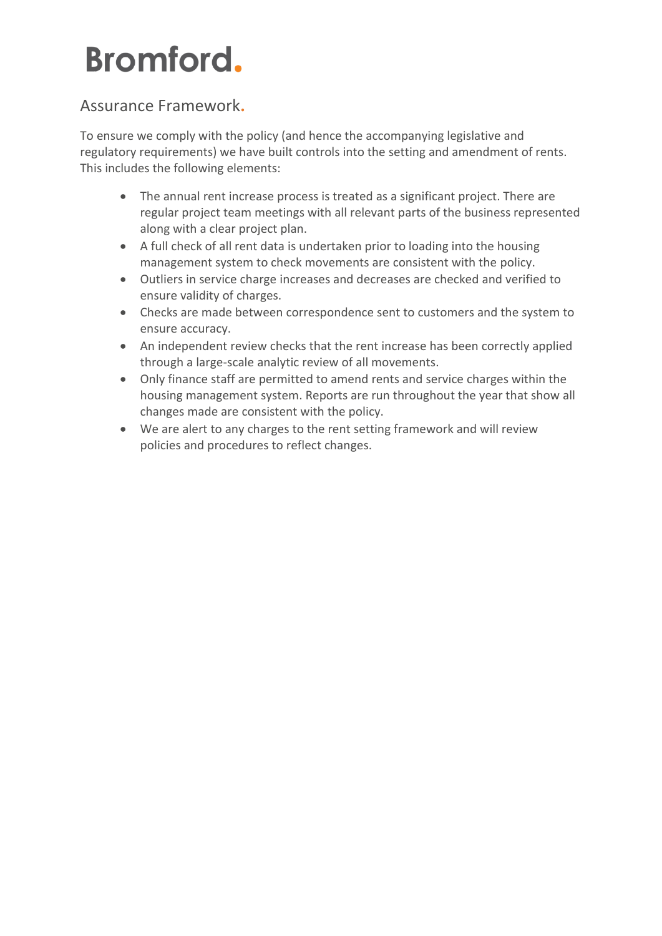### Assurance Framework**.**

To ensure we comply with the policy (and hence the accompanying legislative and regulatory requirements) we have built controls into the setting and amendment of rents. This includes the following elements:

- The annual rent increase process is treated as a significant project. There are regular project team meetings with all relevant parts of the business represented along with a clear project plan.
- A full check of all rent data is undertaken prior to loading into the housing management system to check movements are consistent with the policy.
- Outliers in service charge increases and decreases are checked and verified to ensure validity of charges.
- Checks are made between correspondence sent to customers and the system to ensure accuracy.
- An independent review checks that the rent increase has been correctly applied through a large-scale analytic review of all movements.
- Only finance staff are permitted to amend rents and service charges within the housing management system. Reports are run throughout the year that show all changes made are consistent with the policy.
- We are alert to any charges to the rent setting framework and will review policies and procedures to reflect changes.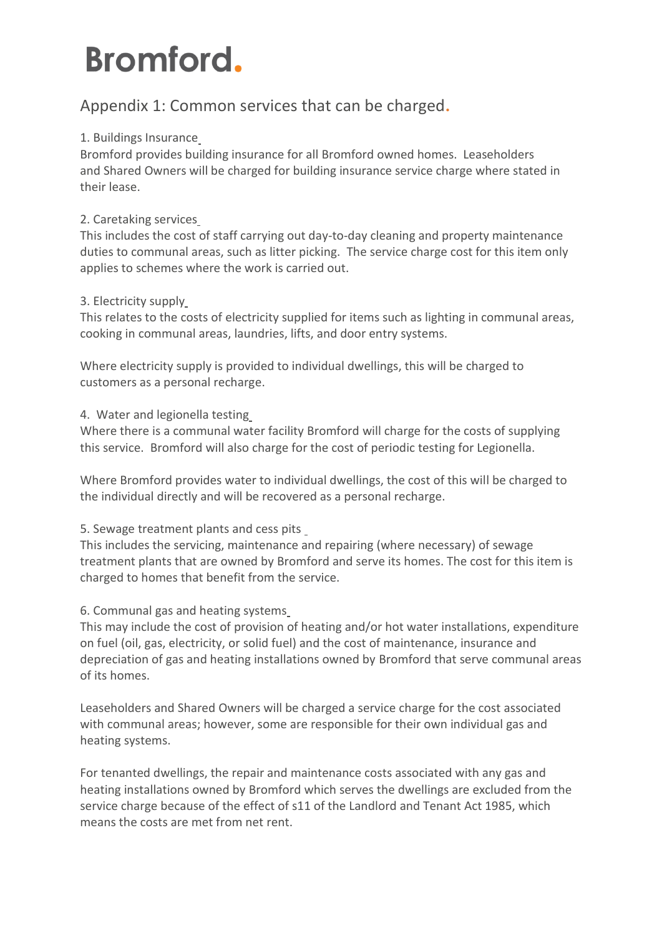### Appendix 1: Common services that can be charged**.**

#### 1. Buildings Insurance

Bromford provides building insurance for all Bromford owned homes. Leaseholders and Shared Owners will be charged for building insurance service charge where stated in their lease.

#### 2. Caretaking services

This includes the cost of staff carrying out day-to-day cleaning and property maintenance duties to communal areas, such as litter picking. The service charge cost for this item only applies to schemes where the work is carried out.

#### 3. Electricity supply

This relates to the costs of electricity supplied for items such as lighting in communal areas, cooking in communal areas, laundries, lifts, and door entry systems.

Where electricity supply is provided to individual dwellings, this will be charged to customers as a personal recharge.

#### 4. Water and legionella testing

Where there is a communal water facility Bromford will charge for the costs of supplying this service. Bromford will also charge for the cost of periodic testing for Legionella.

Where Bromford provides water to individual dwellings, the cost of this will be charged to the individual directly and will be recovered as a personal recharge.

#### 5. Sewage treatment plants and cess pits

This includes the servicing, maintenance and repairing (where necessary) of sewage treatment plants that are owned by Bromford and serve its homes. The cost for this item is charged to homes that benefit from the service.

#### 6. Communal gas and heating systems

This may include the cost of provision of heating and/or hot water installations, expenditure on fuel (oil, gas, electricity, or solid fuel) and the cost of maintenance, insurance and depreciation of gas and heating installations owned by Bromford that serve communal areas of its homes.

Leaseholders and Shared Owners will be charged a service charge for the cost associated with communal areas; however, some are responsible for their own individual gas and heating systems.

For tenanted dwellings, the repair and maintenance costs associated with any gas and heating installations owned by Bromford which serves the dwellings are excluded from the service charge because of the effect of s11 of the Landlord and Tenant Act 1985, which means the costs are met from net rent.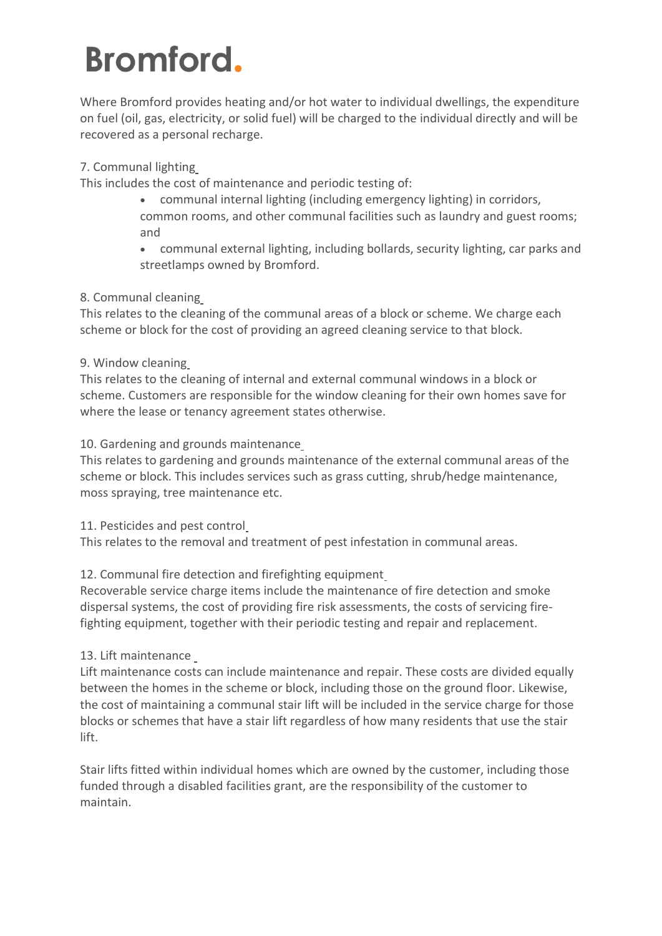Where Bromford provides heating and/or hot water to individual dwellings, the expenditure on fuel (oil, gas, electricity, or solid fuel) will be charged to the individual directly and will be recovered as a personal recharge.

#### 7. Communal lighting

This includes the cost of maintenance and periodic testing of:

- communal internal lighting (including emergency lighting) in corridors, common rooms, and other communal facilities such as laundry and guest rooms; and
- communal external lighting, including bollards, security lighting, car parks and streetlamps owned by Bromford.

#### 8. Communal cleaning

This relates to the cleaning of the communal areas of a block or scheme. We charge each scheme or block for the cost of providing an agreed cleaning service to that block.

#### 9. Window cleaning

This relates to the cleaning of internal and external communal windows in a block or scheme. Customers are responsible for the window cleaning for their own homes save for where the lease or tenancy agreement states otherwise.

#### 10. Gardening and grounds maintenance

This relates to gardening and grounds maintenance of the external communal areas of the scheme or block. This includes services such as grass cutting, shrub/hedge maintenance, moss spraying, tree maintenance etc.

#### 11. Pesticides and pest control

This relates to the removal and treatment of pest infestation in communal areas.

#### 12. Communal fire detection and firefighting equipment

Recoverable service charge items include the maintenance of fire detection and smoke dispersal systems, the cost of providing fire risk assessments, the costs of servicing firefighting equipment, together with their periodic testing and repair and replacement.

#### 13. Lift maintenance

Lift maintenance costs can include maintenance and repair. These costs are divided equally between the homes in the scheme or block, including those on the ground floor. Likewise, the cost of maintaining a communal stair lift will be included in the service charge for those blocks or schemes that have a stair lift regardless of how many residents that use the stair lift.

Stair lifts fitted within individual homes which are owned by the customer, including those funded through a disabled facilities grant, are the responsibility of the customer to maintain.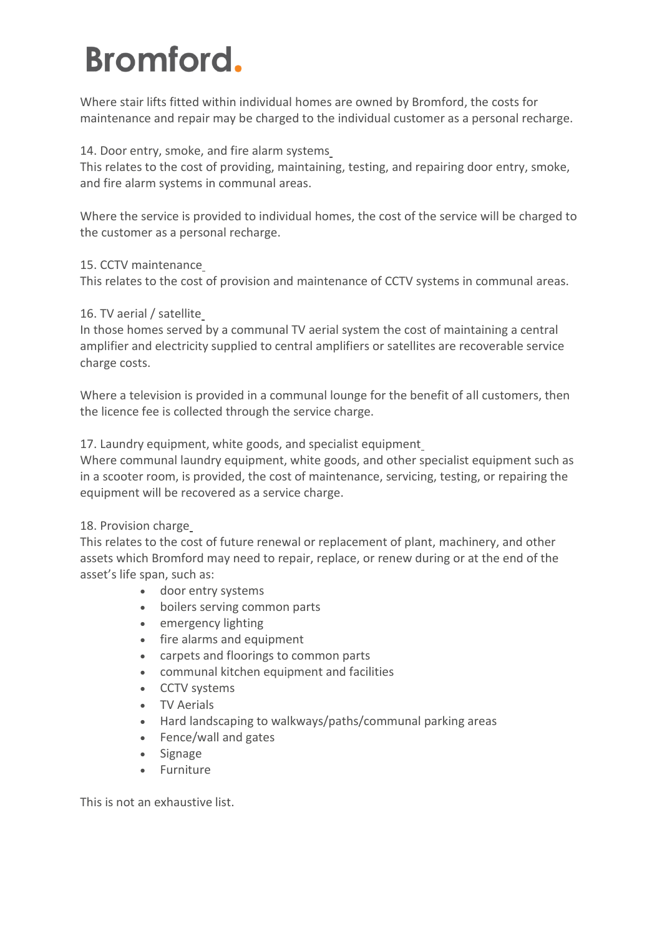Where stair lifts fitted within individual homes are owned by Bromford, the costs for maintenance and repair may be charged to the individual customer as a personal recharge.

#### 14. Door entry, smoke, and fire alarm systems

This relates to the cost of providing, maintaining, testing, and repairing door entry, smoke, and fire alarm systems in communal areas.

Where the service is provided to individual homes, the cost of the service will be charged to the customer as a personal recharge.

#### 15. CCTV maintenance

This relates to the cost of provision and maintenance of CCTV systems in communal areas.

#### 16. TV aerial / satellite

In those homes served by a communal TV aerial system the cost of maintaining a central amplifier and electricity supplied to central amplifiers or satellites are recoverable service charge costs.

Where a television is provided in a communal lounge for the benefit of all customers, then the licence fee is collected through the service charge.

#### 17. Laundry equipment, white goods, and specialist equipment

Where communal laundry equipment, white goods, and other specialist equipment such as in a scooter room, is provided, the cost of maintenance, servicing, testing, or repairing the equipment will be recovered as a service charge.

#### 18. Provision charge

This relates to the cost of future renewal or replacement of plant, machinery, and other assets which Bromford may need to repair, replace, or renew during or at the end of the asset's life span, such as:

- door entry systems
- boilers serving common parts
- emergency lighting
- fire alarms and equipment
- carpets and floorings to common parts
- communal kitchen equipment and facilities
- CCTV systems
- TV Aerials
- Hard landscaping to walkways/paths/communal parking areas
- Fence/wall and gates
- Signage
- Furniture

This is not an exhaustive list.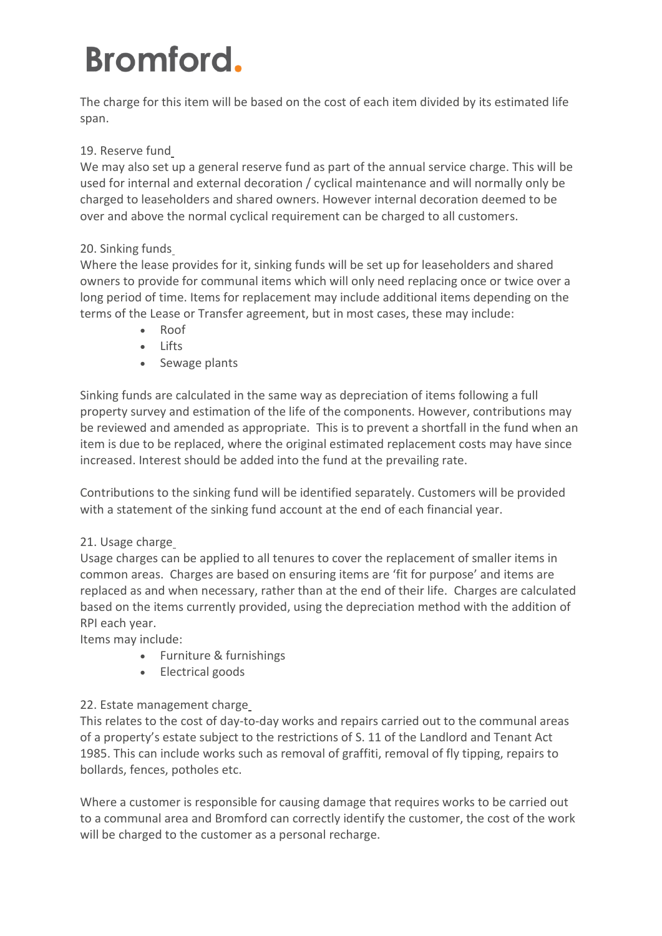The charge for this item will be based on the cost of each item divided by its estimated life span.

#### 19. Reserve fund

We may also set up a general reserve fund as part of the annual service charge. This will be used for internal and external decoration / cyclical maintenance and will normally only be charged to leaseholders and shared owners. However internal decoration deemed to be over and above the normal cyclical requirement can be charged to all customers.

#### 20. Sinking funds

Where the lease provides for it, sinking funds will be set up for leaseholders and shared owners to provide for communal items which will only need replacing once or twice over a long period of time. Items for replacement may include additional items depending on the terms of the Lease or Transfer agreement, but in most cases, these may include:

- Roof
- Lifts
- Sewage plants

Sinking funds are calculated in the same way as depreciation of items following a full property survey and estimation of the life of the components. However, contributions may be reviewed and amended as appropriate. This is to prevent a shortfall in the fund when an item is due to be replaced, where the original estimated replacement costs may have since increased. Interest should be added into the fund at the prevailing rate.

Contributions to the sinking fund will be identified separately. Customers will be provided with a statement of the sinking fund account at the end of each financial year.

#### 21. Usage charge

Usage charges can be applied to all tenures to cover the replacement of smaller items in common areas. Charges are based on ensuring items are 'fit for purpose' and items are replaced as and when necessary, rather than at the end of their life. Charges are calculated based on the items currently provided, using the depreciation method with the addition of RPI each year.

Items may include:

- Furniture & furnishings
- Electrical goods

#### 22. Estate management charge

This relates to the cost of day-to-day works and repairs carried out to the communal areas of a property's estate subject to the restrictions of S. 11 of the Landlord and Tenant Act 1985. This can include works such as removal of graffiti, removal of fly tipping, repairs to bollards, fences, potholes etc.

Where a customer is responsible for causing damage that requires works to be carried out to a communal area and Bromford can correctly identify the customer, the cost of the work will be charged to the customer as a personal recharge.